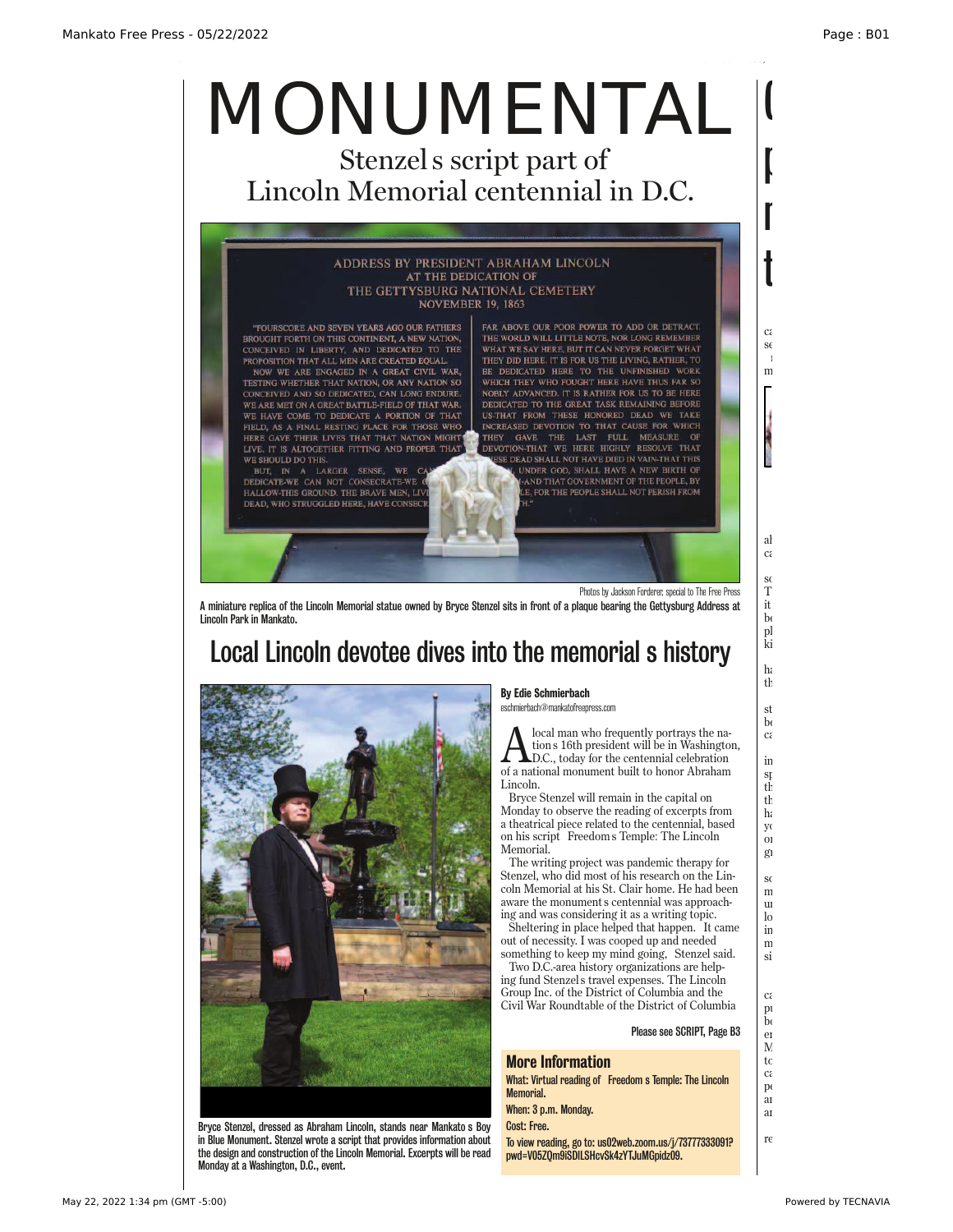